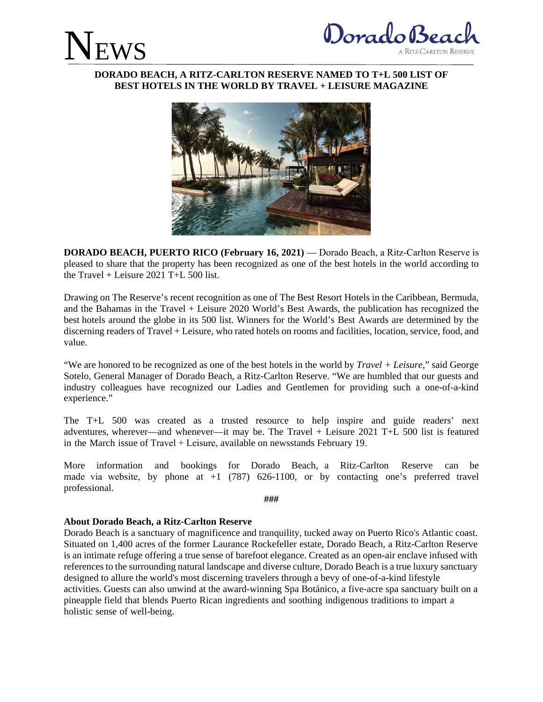



## **DORADO BEACH, A RITZ-CARLTON RESERVE NAMED TO T+L 500 LIST OF BEST HOTELS IN THE WORLD BY TRAVEL + LEISURE MAGAZINE**



**DORADO BEACH, PUERTO RICO (February 16, 2021)** — Dorado Beach, a Ritz-Carlton Reserve is pleased to share that the property has been recognized as one of the best hotels in the world according to the Travel + Leisure 2021 T+L 500 list.

Drawing on The Reserve's recent recognition as one of The Best Resort Hotels in the Caribbean, Bermuda, and the Bahamas in the Travel + Leisure 2020 World's Best Awards, the publication has recognized the best hotels around the globe in its 500 list. Winners for the World's Best Awards are determined by the discerning readers of Travel + Leisure, who rated hotels on rooms and facilities, location, service, food, and value.

"We are honored to be recognized as one of the best hotels in the world by *Travel + Leisure*," said George Sotelo, General Manager of Dorado Beach, a Ritz-Carlton Reserve. "We are humbled that our guests and industry colleagues have recognized our Ladies and Gentlemen for providing such a one-of-a-kind experience."

The T+L 500 was created as a trusted resource to help inspire and guide readers' next adventures, wherever—and whenever—it may be. The Travel + Leisure 2021 T+L 500 list is featured in the March issue of Travel + Leisure, available on newsstands February 19.

 made via website, by phone at +1 (787) 626-1100, or by contacting one's preferred travel More information and bookings for Dorado Beach, a Ritz-Carlton Reserve can be professional.

**###** 

## **About Dorado Beach, a Ritz-Carlton Reserve**

Dorado Beach is a sanctuary of magnificence and tranquility, tucked away on Puerto Rico's Atlantic coast. Situated on 1,400 acres of the former Laurance Rockefeller estate, Dorado Beach, a Ritz-Carlton Reserve is an intimate refuge offering a true sense of barefoot elegance. Created as an open-air enclave infused with references to the surrounding natural landscape and diverse culture, Dorado Beach is a true luxury sanctuary designed to allure the world's most discerning travelers through a bevy of one-of-a-kind lifestyle activities. Guests can also unwind at the award-winning Spa Botánico, a five-acre spa sanctuary built on a pineapple field that blends Puerto Rican ingredients and soothing indigenous traditions to impart a holistic sense of well-being.